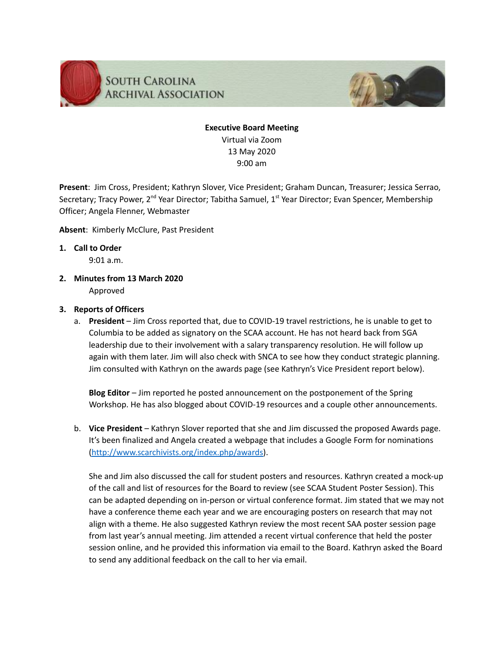

# **Executive Board Meeting** Virtual via Zoom 13 May 2020 9:00 am

**Present**: Jim Cross, President; Kathryn Slover, Vice President; Graham Duncan, Treasurer; Jessica Serrao, Secretary; Tracy Power, 2<sup>nd</sup> Year Director; Tabitha Samuel, 1<sup>st</sup> Year Director; Evan Spencer, Membership Officer; Angela Flenner, Webmaster

### **Absent**: Kimberly McClure, Past President

**1. Call to Order**

9:01 a.m.

**2. Minutes from 13 March 2020** Approved

### **3. Reports of Officers**

a. **President** – Jim Cross reported that, due to COVID-19 travel restrictions, he is unable to get to Columbia to be added as signatory on the SCAA account. He has not heard back from SGA leadership due to their involvement with a salary transparency resolution. He will follow up again with them later. Jim will also check with SNCA to see how they conduct strategic planning. Jim consulted with Kathryn on the awards page (see Kathryn's Vice President report below).

**Blog Editor** – Jim reported he posted announcement on the postponement of the Spring Workshop. He has also blogged about COVID-19 resources and a couple other announcements.

b. **Vice President** – Kathryn Slover reported that she and Jim discussed the proposed Awards page. It's been finalized and Angela created a webpage that includes a Google Form for nominations [\(http://www.scarchivists.org/index.php/awards\)](https://urldefense.proofpoint.com/v2/url?u=http-3A__www.scarchivists.org_index.php_awards&d=DwMFAw&c=Ngd-ta5yRYsqeUsEDgxhcqsYYY1Xs5ogLxWPA_2Wlc4&r=z5fI5oZRwH5NPmyqakYKJ7NAlgntQAJCcXnfPMd8KZ0&m=Y6ZgBjiaC02E01AxTSbwSZr0Ab1dIDYnx1ddd9HWd9g&s=RozAGlbCUKXfLftFI8790MvG1NRwQVxFVV0M5_yNnP8&e=).

She and Jim also discussed the call for student posters and resources. Kathryn created a mock-up of the call and list of resources for the Board to review (see SCAA Student Poster Session). This can be adapted depending on in-person or virtual conference format. Jim stated that we may not have a conference theme each year and we are encouraging posters on research that may not align with a theme. He also suggested Kathryn review the most recent SAA poster session page from last year's annual meeting. Jim attended a recent virtual conference that held the poster session online, and he provided this information via email to the Board. Kathryn asked the Board to send any additional feedback on the call to her via email.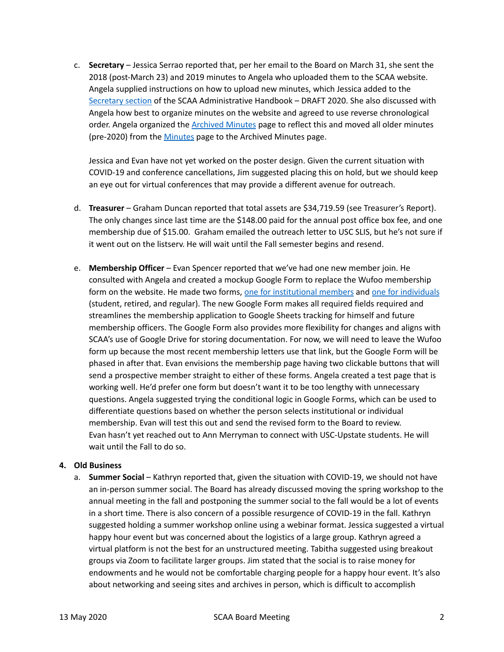c. **Secretary** – Jessica Serrao reported that, per her email to the Board on March 31, she sent the 2018 (post-March 23) and 2019 minutes to Angela who uploaded them to the SCAA website. Angela supplied instructions on how to upload new minutes, which Jessica added to the [Secretary](https://docs.google.com/document/d/1GqIwXeciwWdVpDZyyTR2nfHuvIpxtTQbAkWSI4hm2sI/edit#heading=h.tiow3s7augv5) section of the SCAA Administrative Handbook – DRAFT 2020. She also discussed with Angela how best to organize minutes on the website and agreed to use reverse chronological order. Angela organized the [Archived](http://scarchivists.org/index.php/minutes/archived-minutes) Minutes page to reflect this and moved all older minutes (pre-2020) from the [Minutes](http://scarchivists.org/index.php/minutes/archived-minutes) page to the Archived Minutes page.

Jessica and Evan have not yet worked on the poster design. Given the current situation with COVID-19 and conference cancellations, Jim suggested placing this on hold, but we should keep an eye out for virtual conferences that may provide a different avenue for outreach.

- d. **Treasurer** Graham Duncan reported that total assets are \$34,719.59 (see Treasurer's Report). The only changes since last time are the \$148.00 paid for the annual post office box fee, and one membership due of \$15.00. Graham emailed the outreach letter to USC SLIS, but he's not sure if it went out on the listserv. He will wait until the Fall semester begins and resend.
- e. **Membership Officer** Evan Spencer reported that we've had one new member join. He consulted with Angela and created a mockup Google Form to replace the Wufoo membership form on the website. He made two forms, one for [institutional](https://urldefense.proofpoint.com/v2/url?u=https-3A__docs.google.com_forms_d_e_1FAIpQLSfIdxSsQ0doyahY3mTdRiSkTvJqgV6buwB0ALbxmbNwLi4fGQ_viewform-3Fusp-3Dsf-5Flink&d=DwMFAw&c=Ngd-ta5yRYsqeUsEDgxhcqsYYY1Xs5ogLxWPA_2Wlc4&r=z5fI5oZRwH5NPmyqakYKJ7NAlgntQAJCcXnfPMd8KZ0&m=zIRdsTzmPwYHT1wCdwaT9yc-7zHZ2p4T7rRuPjihDKo&s=CaHs6GqXzA6b4GzLGIu251up3LXXanyUkKTf0Dvw7fY&e=) members and one for [individuals](https://urldefense.proofpoint.com/v2/url?u=https-3A__docs.google.com_forms_d_e_1FAIpQLSdTmT96WCMaNoutArljOiLXSGhfbuEF0woQrSMxzTWoof81WA_viewform-3Fusp-3Dsf-5Flink&d=DwMFAw&c=Ngd-ta5yRYsqeUsEDgxhcqsYYY1Xs5ogLxWPA_2Wlc4&r=z5fI5oZRwH5NPmyqakYKJ7NAlgntQAJCcXnfPMd8KZ0&m=zIRdsTzmPwYHT1wCdwaT9yc-7zHZ2p4T7rRuPjihDKo&s=SwPpnHTEun1Vpc4jsiKyMOq-FjseXMGT2pUA0tNC9NI&e=) (student, retired, and regular). The new Google Form makes all required fields required and streamlines the membership application to Google Sheets tracking for himself and future membership officers. The Google Form also provides more flexibility for changes and aligns with SCAA's use of Google Drive for storing documentation. For now, we will need to leave the Wufoo form up because the most recent membership letters use that link, but the Google Form will be phased in after that. Evan envisions the membership page having two clickable buttons that will send a prospective member straight to either of these forms. Angela created a test page that is working well. He'd prefer one form but doesn't want it to be too lengthy with unnecessary questions. Angela suggested trying the conditional logic in Google Forms, which can be used to differentiate questions based on whether the person selects institutional or individual membership. Evan will test this out and send the revised form to the Board to review. Evan hasn't yet reached out to Ann Merryman to connect with USC-Upstate students. He will wait until the Fall to do so.

### **4. Old Business**

a. **Summer Social** – Kathryn reported that, given the situation with COVID-19, we should not have an in-person summer social. The Board has already discussed moving the spring workshop to the annual meeting in the fall and postponing the summer social to the fall would be a lot of events in a short time. There is also concern of a possible resurgence of COVID-19 in the fall. Kathryn suggested holding a summer workshop online using a webinar format. Jessica suggested a virtual happy hour event but was concerned about the logistics of a large group. Kathryn agreed a virtual platform is not the best for an unstructured meeting. Tabitha suggested using breakout groups via Zoom to facilitate larger groups. Jim stated that the social is to raise money for endowments and he would not be comfortable charging people for a happy hour event. It's also about networking and seeing sites and archives in person, which is difficult to accomplish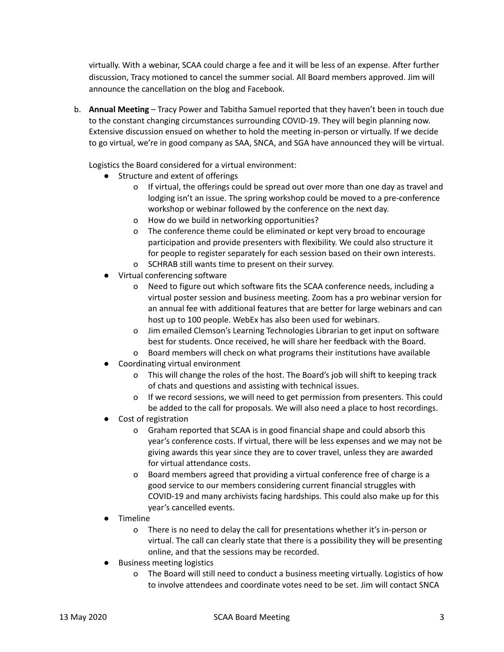virtually. With a webinar, SCAA could charge a fee and it will be less of an expense. After further discussion, Tracy motioned to cancel the summer social. All Board members approved. Jim will announce the cancellation on the blog and Facebook.

b. **Annual Meeting** – Tracy Power and Tabitha Samuel reported that they haven't been in touch due to the constant changing circumstances surrounding COVID-19. They will begin planning now. Extensive discussion ensued on whether to hold the meeting in-person or virtually. If we decide to go virtual, we're in good company as SAA, SNCA, and SGA have announced they will be virtual.

Logistics the Board considered for a virtual environment:

- Structure and extent of offerings
	- o If virtual, the offerings could be spread out over more than one day as travel and lodging isn't an issue. The spring workshop could be moved to a pre-conference workshop or webinar followed by the conference on the next day.
	- o How do we build in networking opportunities?
	- o The conference theme could be eliminated or kept very broad to encourage participation and provide presenters with flexibility. We could also structure it for people to register separately for each session based on their own interests.
	- o SCHRAB still wants time to present on their survey.
- Virtual conferencing software
	- o Need to figure out which software fits the SCAA conference needs, including a virtual poster session and business meeting. Zoom has a pro webinar version for an annual fee with additional features that are better for large webinars and can host up to 100 people. WebEx has also been used for webinars.
	- o Jim emailed Clemson's Learning Technologies Librarian to get input on software best for students. Once received, he will share her feedback with the Board.
	- o Board members will check on what programs their institutions have available
- Coordinating virtual environment
	- o This will change the roles of the host. The Board's job will shift to keeping track of chats and questions and assisting with technical issues.
	- o If we record sessions, we will need to get permission from presenters. This could be added to the call for proposals. We will also need a place to host recordings.
- Cost of registration
	- o Graham reported that SCAA is in good financial shape and could absorb this year's conference costs. If virtual, there will be less expenses and we may not be giving awards this year since they are to cover travel, unless they are awarded for virtual attendance costs.
	- o Board members agreed that providing a virtual conference free of charge is a good service to our members considering current financial struggles with COVID-19 and many archivists facing hardships. This could also make up for this year's cancelled events.
- Timeline
	- o There is no need to delay the call for presentations whether it's in-person or virtual. The call can clearly state that there is a possibility they will be presenting online, and that the sessions may be recorded.
- **Business meeting logistics** 
	- o The Board will still need to conduct a business meeting virtually. Logistics of how to involve attendees and coordinate votes need to be set. Jim will contact SNCA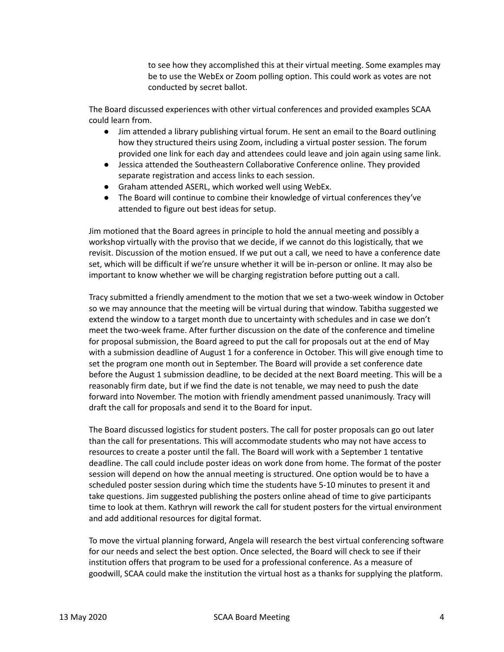to see how they accomplished this at their virtual meeting. Some examples may be to use the WebEx or Zoom polling option. This could work as votes are not conducted by secret ballot.

The Board discussed experiences with other virtual conferences and provided examples SCAA could learn from.

- Jim attended a library publishing virtual forum. He sent an email to the Board outlining how they structured theirs using Zoom, including a virtual poster session. The forum provided one link for each day and attendees could leave and join again using same link.
- Jessica attended the Southeastern Collaborative Conference online. They provided separate registration and access links to each session.
- Graham attended ASERL, which worked well using WebEx.
- The Board will continue to combine their knowledge of virtual conferences they've attended to figure out best ideas for setup.

Jim motioned that the Board agrees in principle to hold the annual meeting and possibly a workshop virtually with the proviso that we decide, if we cannot do this logistically, that we revisit. Discussion of the motion ensued. If we put out a call, we need to have a conference date set, which will be difficult if we're unsure whether it will be in-person or online. It may also be important to know whether we will be charging registration before putting out a call.

Tracy submitted a friendly amendment to the motion that we set a two-week window in October so we may announce that the meeting will be virtual during that window. Tabitha suggested we extend the window to a target month due to uncertainty with schedules and in case we don't meet the two-week frame. After further discussion on the date of the conference and timeline for proposal submission, the Board agreed to put the call for proposals out at the end of May with a submission deadline of August 1 for a conference in October. This will give enough time to set the program one month out in September. The Board will provide a set conference date before the August 1 submission deadline, to be decided at the next Board meeting. This will be a reasonably firm date, but if we find the date is not tenable, we may need to push the date forward into November. The motion with friendly amendment passed unanimously. Tracy will draft the call for proposals and send it to the Board for input.

The Board discussed logistics for student posters. The call for poster proposals can go out later than the call for presentations. This will accommodate students who may not have access to resources to create a poster until the fall. The Board will work with a September 1 tentative deadline. The call could include poster ideas on work done from home. The format of the poster session will depend on how the annual meeting is structured. One option would be to have a scheduled poster session during which time the students have 5-10 minutes to present it and take questions. Jim suggested publishing the posters online ahead of time to give participants time to look at them. Kathryn will rework the call for student posters for the virtual environment and add additional resources for digital format.

To move the virtual planning forward, Angela will research the best virtual conferencing software for our needs and select the best option. Once selected, the Board will check to see if their institution offers that program to be used for a professional conference. As a measure of goodwill, SCAA could make the institution the virtual host as a thanks for supplying the platform.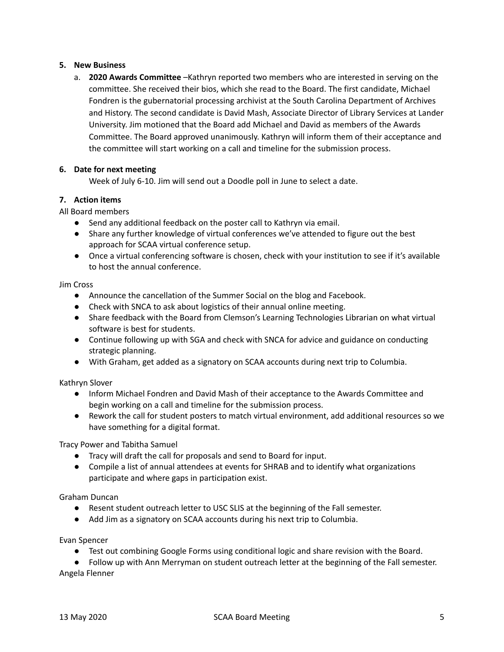# **5. New Business**

a. **2020 Awards Committee** –Kathryn reported two members who are interested in serving on the committee. She received their bios, which she read to the Board. The first candidate, Michael Fondren is the gubernatorial processing archivist at the South Carolina Department of Archives and History. The second candidate is David Mash, Associate Director of Library Services at Lander University. Jim motioned that the Board add Michael and David as members of the Awards Committee. The Board approved unanimously. Kathryn will inform them of their acceptance and the committee will start working on a call and timeline for the submission process.

# **6. Date for next meeting**

Week of July 6-10. Jim will send out a Doodle poll in June to select a date.

# **7. Action items**

All Board members

- Send any additional feedback on the poster call to Kathryn via email.
- Share any further knowledge of virtual conferences we've attended to figure out the best approach for SCAA virtual conference setup.
- Once a virtual conferencing software is chosen, check with your institution to see if it's available to host the annual conference.

Jim Cross

- Announce the cancellation of the Summer Social on the blog and Facebook.
- Check with SNCA to ask about logistics of their annual online meeting.
- Share feedback with the Board from Clemson's Learning Technologies Librarian on what virtual software is best for students.
- Continue following up with SGA and check with SNCA for advice and guidance on conducting strategic planning.
- **●** With Graham, get added as a signatory on SCAA accounts during next trip to Columbia.

Kathryn Slover

- Inform Michael Fondren and David Mash of their acceptance to the Awards Committee and begin working on a call and timeline for the submission process.
- Rework the call for student posters to match virtual environment, add additional resources so we have something for a digital format.

Tracy Power and Tabitha Samuel

- Tracy will draft the call for proposals and send to Board for input.
- Compile a list of annual attendees at events for SHRAB and to identify what organizations participate and where gaps in participation exist.

### Graham Duncan

- Resent student outreach letter to USC SLIS at the beginning of the Fall semester.
- **●** Add Jim as a signatory on SCAA accounts during his next trip to Columbia.

Evan Spencer

● Test out combining Google Forms using conditional logic and share revision with the Board.

● Follow up with Ann Merryman on student outreach letter at the beginning of the Fall semester. Angela Flenner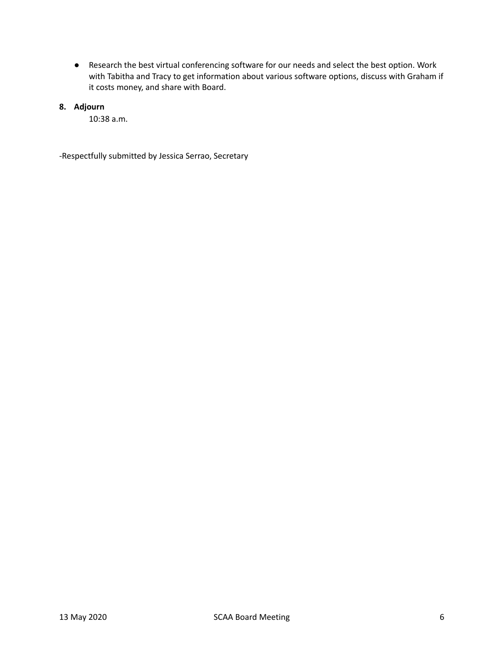- Research the best virtual conferencing software for our needs and select the best option. Work with Tabitha and Tracy to get information about various software options, discuss with Graham if it costs money, and share with Board.
- **8. Adjourn**
	- 10:38 a.m.

-Respectfully submitted by Jessica Serrao, Secretary